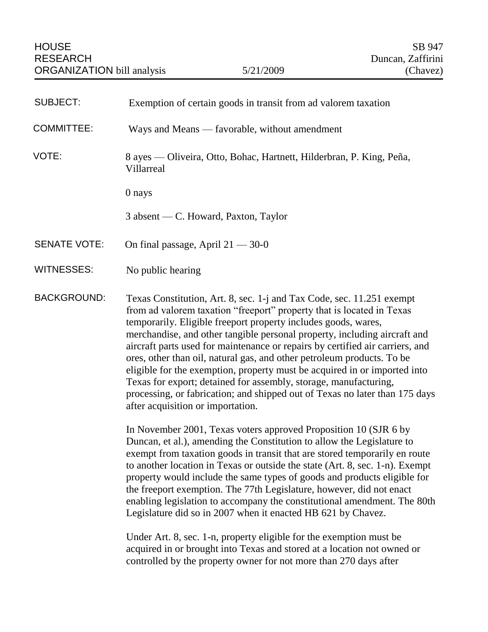| <b>SUBJECT:</b>     | Exemption of certain goods in transit from ad valorem taxation                                                                                                                                                                                                                                                                                                                                                                                                                                                                                                                                                                                                                                                                |
|---------------------|-------------------------------------------------------------------------------------------------------------------------------------------------------------------------------------------------------------------------------------------------------------------------------------------------------------------------------------------------------------------------------------------------------------------------------------------------------------------------------------------------------------------------------------------------------------------------------------------------------------------------------------------------------------------------------------------------------------------------------|
| <b>COMMITTEE:</b>   | Ways and Means — favorable, without amendment                                                                                                                                                                                                                                                                                                                                                                                                                                                                                                                                                                                                                                                                                 |
| VOTE:               | 8 ayes — Oliveira, Otto, Bohac, Hartnett, Hilderbran, P. King, Peña,<br>Villarreal                                                                                                                                                                                                                                                                                                                                                                                                                                                                                                                                                                                                                                            |
|                     | 0 nays                                                                                                                                                                                                                                                                                                                                                                                                                                                                                                                                                                                                                                                                                                                        |
|                     | 3 absent — C. Howard, Paxton, Taylor                                                                                                                                                                                                                                                                                                                                                                                                                                                                                                                                                                                                                                                                                          |
| <b>SENATE VOTE:</b> | On final passage, April $21 - 30 - 0$                                                                                                                                                                                                                                                                                                                                                                                                                                                                                                                                                                                                                                                                                         |
| WITNESSES:          | No public hearing                                                                                                                                                                                                                                                                                                                                                                                                                                                                                                                                                                                                                                                                                                             |
| <b>BACKGROUND:</b>  | Texas Constitution, Art. 8, sec. 1-j and Tax Code, sec. 11.251 exempt<br>from ad valorem taxation "freeport" property that is located in Texas<br>temporarily. Eligible freeport property includes goods, wares,<br>merchandise, and other tangible personal property, including aircraft and<br>aircraft parts used for maintenance or repairs by certified air carriers, and<br>ores, other than oil, natural gas, and other petroleum products. To be<br>eligible for the exemption, property must be acquired in or imported into<br>Texas for export; detained for assembly, storage, manufacturing,<br>processing, or fabrication; and shipped out of Texas no later than 175 days<br>after acquisition or importation. |
|                     | In November 2001, Texas voters approved Proposition 10 (SJR 6 by<br>Duncan, et al.), amending the Constitution to allow the Legislature to<br>exempt from taxation goods in transit that are stored temporarily en route<br>to another location in Texas or outside the state (Art. 8, sec. 1-n). Exempt<br>property would include the same types of goods and products eligible for<br>the freeport exemption. The 77th Legislature, however, did not enact<br>enabling legislation to accompany the constitutional amendment. The 80th<br>Legislature did so in 2007 when it enacted HB 621 by Chavez.                                                                                                                      |
|                     | Under Art. 8, sec. 1-n, property eligible for the exemption must be<br>acquired in or brought into Texas and stored at a location not owned or<br>controlled by the property owner for not more than 270 days after                                                                                                                                                                                                                                                                                                                                                                                                                                                                                                           |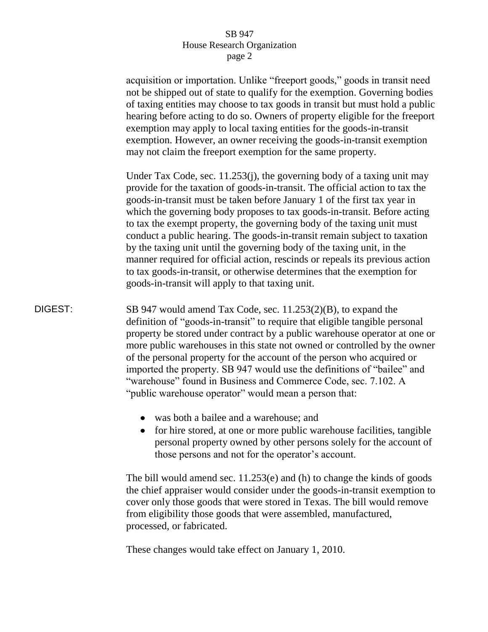## SB 947 House Research Organization page 2

acquisition or importation. Unlike "freeport goods," goods in transit need not be shipped out of state to qualify for the exemption. Governing bodies of taxing entities may choose to tax goods in transit but must hold a public hearing before acting to do so. Owners of property eligible for the freeport exemption may apply to local taxing entities for the goods-in-transit exemption. However, an owner receiving the goods-in-transit exemption may not claim the freeport exemption for the same property. Under Tax Code, sec. 11.253(j), the governing body of a taxing unit may provide for the taxation of goods-in-transit. The official action to tax the goods-in-transit must be taken before January 1 of the first tax year in which the governing body proposes to tax goods-in-transit. Before acting to tax the exempt property, the governing body of the taxing unit must conduct a public hearing. The goods-in-transit remain subject to taxation by the taxing unit until the governing body of the taxing unit, in the manner required for official action, rescinds or repeals its previous action to tax goods-in-transit, or otherwise determines that the exemption for goods-in-transit will apply to that taxing unit. DIGEST: SB 947 would amend Tax Code, sec. 11.253(2)(B), to expand the definition of "goods-in-transit" to require that eligible tangible personal property be stored under contract by a public warehouse operator at one or more public warehouses in this state not owned or controlled by the owner of the personal property for the account of the person who acquired or imported the property. SB 947 would use the definitions of "bailee" and "warehouse" found in Business and Commerce Code, sec. 7.102. A "public warehouse operator" would mean a person that: was both a bailee and a warehouse; and • for hire stored, at one or more public warehouse facilities, tangible

personal property owned by other persons solely for the account of those persons and not for the operator's account.

The bill would amend sec. 11.253(e) and (h) to change the kinds of goods the chief appraiser would consider under the goods-in-transit exemption to cover only those goods that were stored in Texas. The bill would remove from eligibility those goods that were assembled, manufactured, processed, or fabricated.

These changes would take effect on January 1, 2010.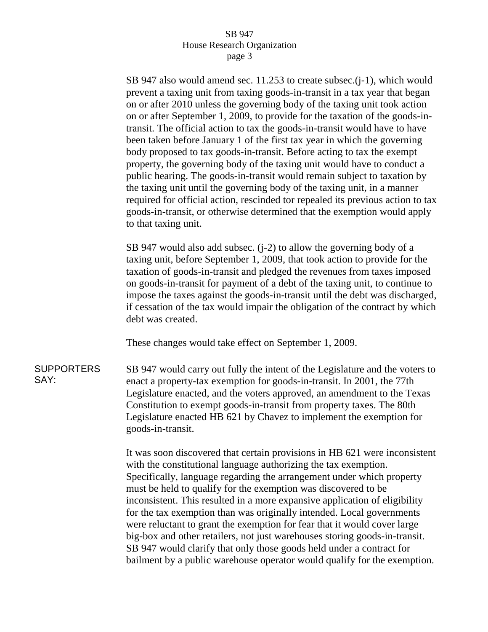## SB 947 House Research Organization page 3

SB 947 also would amend sec. 11.253 to create subsec.(j-1), which would prevent a taxing unit from taxing goods-in-transit in a tax year that began on or after 2010 unless the governing body of the taxing unit took action on or after September 1, 2009, to provide for the taxation of the goods-intransit. The official action to tax the goods-in-transit would have to have been taken before January 1 of the first tax year in which the governing body proposed to tax goods-in-transit. Before acting to tax the exempt property, the governing body of the taxing unit would have to conduct a public hearing. The goods-in-transit would remain subject to taxation by the taxing unit until the governing body of the taxing unit, in a manner required for official action, rescinded tor repealed its previous action to tax goods-in-transit, or otherwise determined that the exemption would apply to that taxing unit.

SB 947 would also add subsec. (j-2) to allow the governing body of a taxing unit, before September 1, 2009, that took action to provide for the taxation of goods-in-transit and pledged the revenues from taxes imposed on goods-in-transit for payment of a debt of the taxing unit, to continue to impose the taxes against the goods-in-transit until the debt was discharged, if cessation of the tax would impair the obligation of the contract by which debt was created.

These changes would take effect on September 1, 2009.

**SUPPORTERS** SAY: SB 947 would carry out fully the intent of the Legislature and the voters to enact a property-tax exemption for goods-in-transit. In 2001, the 77th Legislature enacted, and the voters approved, an amendment to the Texas Constitution to exempt goods-in-transit from property taxes. The 80th Legislature enacted HB 621 by Chavez to implement the exemption for goods-in-transit.

> It was soon discovered that certain provisions in HB 621 were inconsistent with the constitutional language authorizing the tax exemption. Specifically, language regarding the arrangement under which property must be held to qualify for the exemption was discovered to be inconsistent. This resulted in a more expansive application of eligibility for the tax exemption than was originally intended. Local governments were reluctant to grant the exemption for fear that it would cover large big-box and other retailers, not just warehouses storing goods-in-transit. SB 947 would clarify that only those goods held under a contract for bailment by a public warehouse operator would qualify for the exemption.